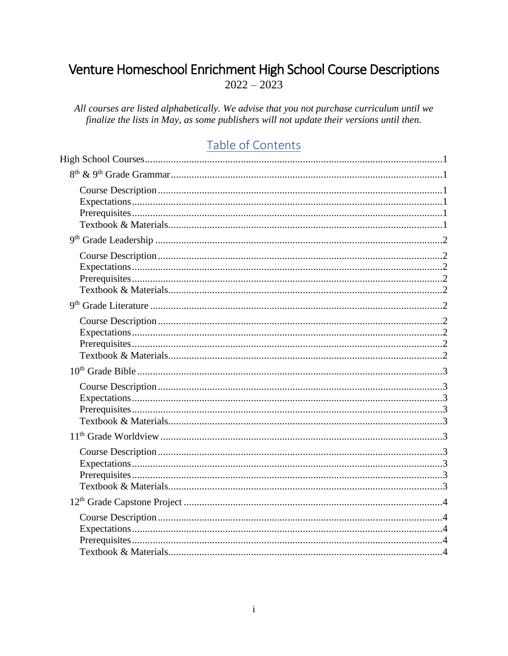# <span id="page-0-0"></span>Venture Homeschool Enrichment High School Course Descriptions  $2022 - 2023$

All courses are listed alphabetically. We advise that you not purchase curriculum until we finalize the lists in May, as some publishers will not update their versions until then.

# Table of Contents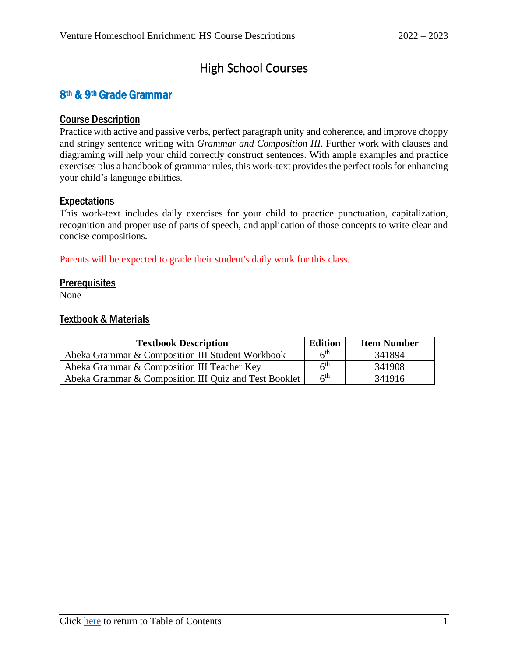# High School Courses

## <span id="page-4-1"></span><span id="page-4-0"></span>8th & 9th Grade Grammar

#### <span id="page-4-2"></span>Course Description

Practice with active and passive verbs, perfect paragraph unity and coherence, and improve choppy and stringy sentence writing with *Grammar and Composition III*. Further work with clauses and diagraming will help your child correctly construct sentences. With ample examples and practice exercises plus a handbook of grammar rules, this work-text provides the perfect tools for enhancing your child's language abilities.

### <span id="page-4-3"></span>Expectations

This work-text includes daily exercises for your child to practice punctuation, capitalization, recognition and proper use of parts of speech, and application of those concepts to write clear and concise compositions.

Parents will be expected to grade their student's daily work for this class.

#### <span id="page-4-4"></span>**Prerequisites**

<span id="page-4-5"></span>None

| <b>Edition</b><br><b>Textbook Description</b>         |                 | <b>Item Number</b> |
|-------------------------------------------------------|-----------------|--------------------|
| Abeka Grammar & Composition III Student Workbook      | 6 <sup>th</sup> | 341894             |
| Abeka Grammar & Composition III Teacher Key           | 6 <sup>th</sup> | 341908             |
| Abeka Grammar & Composition III Quiz and Test Booklet | 6 <sup>th</sup> | 341916             |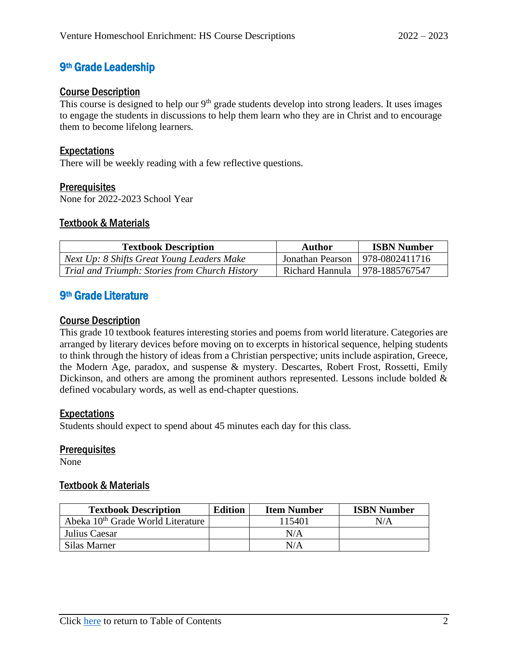## <span id="page-5-0"></span>9th Grade Leadership

#### <span id="page-5-1"></span>Course Description

This course is designed to help our  $9<sup>th</sup>$  grade students develop into strong leaders. It uses images to engage the students in discussions to help them learn who they are in Christ and to encourage them to become lifelong learners.

#### <span id="page-5-2"></span>Expectations

There will be weekly reading with a few reflective questions.

#### <span id="page-5-3"></span>**Prerequisites**

None for 2022-2023 School Year

#### <span id="page-5-4"></span>Textbook & Materials

| <b>Textbook Description</b>                    | Author                            | <b>ISBN Number</b> |
|------------------------------------------------|-----------------------------------|--------------------|
| Next Up: 8 Shifts Great Young Leaders Make     | Jonathan Pearson   978-0802411716 |                    |
| Trial and Triumph: Stories from Church History | Richard Hannula   978-1885767547  |                    |

## <span id="page-5-5"></span>9<sup>th</sup> Grade Literature

#### <span id="page-5-6"></span>Course Description

This grade 10 textbook features interesting stories and poems from world literature. Categories are arranged by literary devices before moving on to excerpts in historical sequence, helping students to think through the history of ideas from a Christian perspective; units include aspiration, Greece, the Modern Age, paradox, and suspense & mystery. Descartes, Robert Frost, Rossetti, Emily Dickinson, and others are among the prominent authors represented. Lessons include bolded & defined vocabulary words, as well as end-chapter questions.

#### <span id="page-5-7"></span>Expectations

Students should expect to spend about 45 minutes each day for this class.

#### <span id="page-5-8"></span>**Prerequisites**

<span id="page-5-9"></span>None

| <b>Textbook Description</b>                                | <b>Edition</b> | <b>Item Number</b> | <b>ISBN Number</b> |
|------------------------------------------------------------|----------------|--------------------|--------------------|
| Abeka 10 <sup>th</sup> Grade World Literature <sup>1</sup> |                | 115401             | N/A                |
| Julius Caesar                                              |                | N/A                |                    |
| Silas Marner                                               |                | N/A                |                    |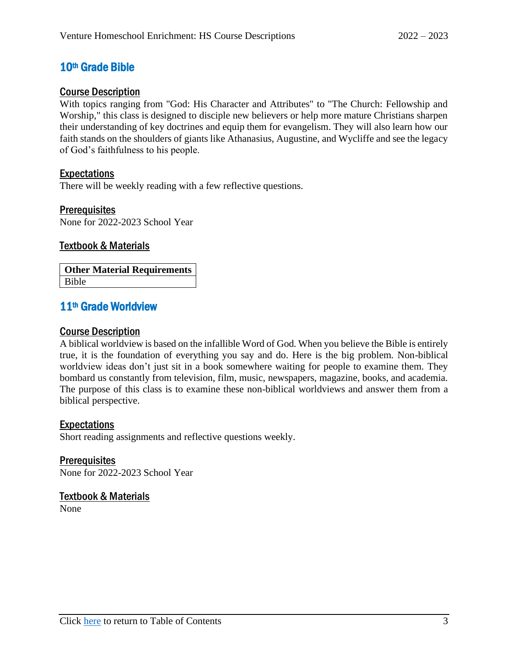## <span id="page-6-0"></span>10th Grade Bible

#### <span id="page-6-1"></span>Course Description

With topics ranging from "God: His Character and Attributes" to "The Church: Fellowship and Worship," this class is designed to disciple new believers or help more mature Christians sharpen their understanding of key doctrines and equip them for evangelism. They will also learn how our faith stands on the shoulders of giants like Athanasius, Augustine, and Wycliffe and see the legacy of God's faithfulness to his people.

### <span id="page-6-2"></span>Expectations

There will be weekly reading with a few reflective questions.

#### <span id="page-6-3"></span>**Prerequisites**

None for 2022-2023 School Year

#### <span id="page-6-4"></span>Textbook & Materials

**Other Material Requirements** Bible

## <span id="page-6-5"></span>11th Grade Worldview

#### <span id="page-6-6"></span>Course Description

A biblical worldview is based on the infallible Word of God. When you believe the Bible is entirely true, it is the foundation of everything you say and do. Here is the big problem. Non-biblical worldview ideas don't just sit in a book somewhere waiting for people to examine them. They bombard us constantly from television, film, music, newspapers, magazine, books, and academia. The purpose of this class is to examine these non-biblical worldviews and answer them from a biblical perspective.

#### <span id="page-6-7"></span>Expectations

Short reading assignments and reflective questions weekly.

<span id="page-6-8"></span>**Prerequisites** None for 2022-2023 School Year

## <span id="page-6-9"></span>Textbook & Materials

None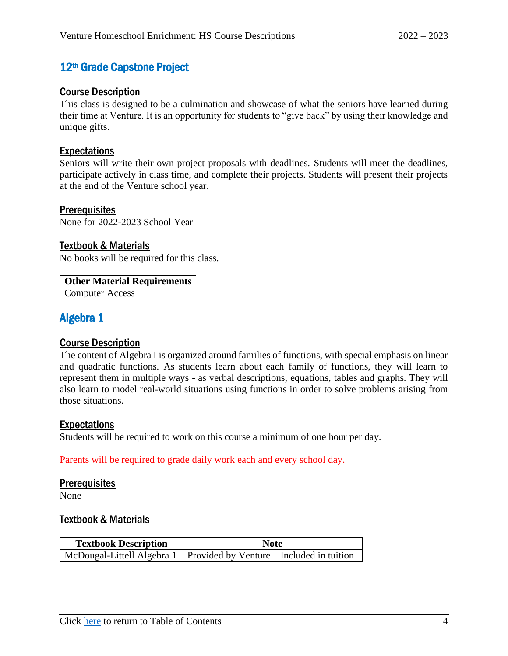## <span id="page-7-0"></span>12<sup>th</sup> Grade Capstone Project

#### <span id="page-7-1"></span>Course Description

This class is designed to be a culmination and showcase of what the seniors have learned during their time at Venture. It is an opportunity for students to "give back" by using their knowledge and unique gifts.

#### <span id="page-7-2"></span>Expectations

Seniors will write their own project proposals with deadlines. Students will meet the deadlines, participate actively in class time, and complete their projects. Students will present their projects at the end of the Venture school year.

#### <span id="page-7-3"></span>**Prerequisites**

None for 2022-2023 School Year

#### <span id="page-7-4"></span>Textbook & Materials

No books will be required for this class.

#### **Other Material Requirements**

Computer Access

## <span id="page-7-5"></span>Algebra 1

### <span id="page-7-6"></span>Course Description

The content of Algebra I is organized around families of functions, with special emphasis on linear and quadratic functions. As students learn about each family of functions, they will learn to represent them in multiple ways - as verbal descriptions, equations, tables and graphs. They will also learn to model real-world situations using functions in order to solve problems arising from those situations.

#### <span id="page-7-7"></span>Expectations

Students will be required to work on this course a minimum of one hour per day.

Parents will be required to grade daily work each and every school day.

#### <span id="page-7-8"></span>**Prerequisites**

<span id="page-7-9"></span>None

| <b>Textbook Description</b> | <b>Note</b>                                                            |  |
|-----------------------------|------------------------------------------------------------------------|--|
|                             | McDougal-Littell Algebra 1   Provided by Venture – Included in tuition |  |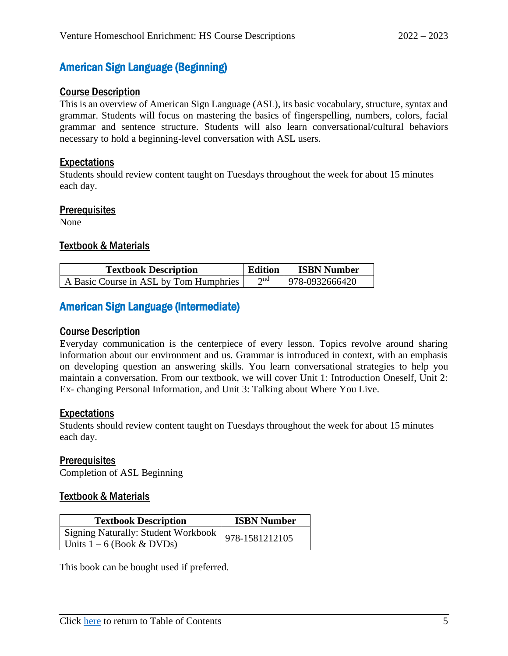## <span id="page-8-0"></span>American Sign Language (Beginning)

#### <span id="page-8-1"></span>Course Description

This is an overview of American Sign Language (ASL), its basic vocabulary, structure, syntax and grammar. Students will focus on mastering the basics of fingerspelling, numbers, colors, facial grammar and sentence structure. Students will also learn conversational/cultural behaviors necessary to hold a beginning-level conversation with ASL users.

#### <span id="page-8-2"></span>Expectations

Students should review content taught on Tuesdays throughout the week for about 15 minutes each day.

#### <span id="page-8-3"></span>**Prerequisites**

None

#### <span id="page-8-4"></span>Textbook & Materials

| <b>Textbook Description</b>            | <b>Edition</b> | <b>ISBN Number</b> |
|----------------------------------------|----------------|--------------------|
| A Basic Course in ASL by Tom Humphries | $\gamma$ na    | 978-0932666420     |

## <span id="page-8-5"></span>American Sign Language (Intermediate)

#### <span id="page-8-6"></span>Course Description

Everyday communication is the centerpiece of every lesson. Topics revolve around sharing information about our environment and us. Grammar is introduced in context, with an emphasis on developing question an answering skills. You learn conversational strategies to help you maintain a conversation. From our textbook, we will cover Unit 1: Introduction Oneself, Unit 2: Ex- changing Personal Information, and Unit 3: Talking about Where You Live.

#### <span id="page-8-7"></span>Expectations

Students should review content taught on Tuesdays throughout the week for about 15 minutes each day.

#### <span id="page-8-8"></span>**Prerequisites**

Completion of ASL Beginning

### <span id="page-8-9"></span>Textbook & Materials

| <b>Textbook Description</b>                          | <b>ISBN Number</b> |
|------------------------------------------------------|--------------------|
| Signing Naturally: Student Workbook   978-1581212105 |                    |
| Units $1 - 6$ (Book & DVDs)                          |                    |

This book can be bought used if preferred.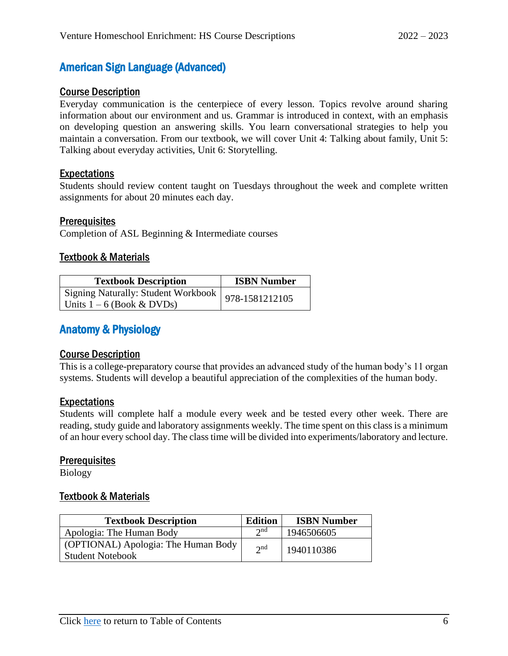## <span id="page-9-0"></span>American Sign Language (Advanced)

#### <span id="page-9-1"></span>Course Description

Everyday communication is the centerpiece of every lesson. Topics revolve around sharing information about our environment and us. Grammar is introduced in context, with an emphasis on developing question an answering skills. You learn conversational strategies to help you maintain a conversation. From our textbook, we will cover Unit 4: Talking about family, Unit 5: Talking about everyday activities, Unit 6: Storytelling.

#### <span id="page-9-2"></span>Expectations

Students should review content taught on Tuesdays throughout the week and complete written assignments for about 20 minutes each day.

#### <span id="page-9-3"></span>**Prerequisites**

Completion of ASL Beginning & Intermediate courses

#### <span id="page-9-4"></span>Textbook & Materials

| <b>Textbook Description</b>                                                         | <b>ISBN Number</b> |
|-------------------------------------------------------------------------------------|--------------------|
| Signing Naturally: Student Workbook   978-1581212105<br>Units $1 - 6$ (Book & DVDs) |                    |

## <span id="page-9-5"></span>Anatomy & Physiology

#### <span id="page-9-6"></span>Course Description

This is a college-preparatory course that provides an advanced study of the human body's 11 organ systems. Students will develop a beautiful appreciation of the complexities of the human body.

#### <span id="page-9-7"></span>Expectations

Students will complete half a module every week and be tested every other week. There are reading, study guide and laboratory assignments weekly. The time spent on this class is a minimum of an hour every school day. The class time will be divided into experiments/laboratory and lecture.

#### <span id="page-9-8"></span>**Prerequisites**

<span id="page-9-9"></span>Biology

| <b>Textbook Description</b>                                    | <b>Edition</b> | <b>ISBN Number</b> |
|----------------------------------------------------------------|----------------|--------------------|
| Apologia: The Human Body                                       | $\gamma$ nd    | 1946506605         |
| (OPTIONAL) Apologia: The Human Body<br><b>Student Notebook</b> | $2^{nd}$       | 1940110386         |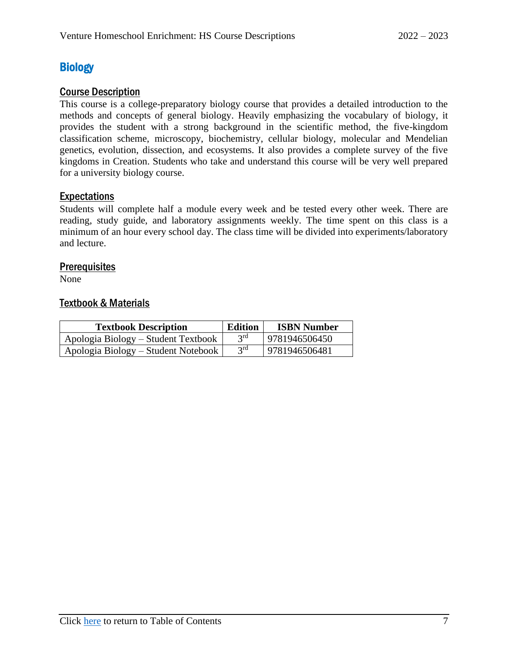## <span id="page-10-0"></span>**Biology**

### <span id="page-10-1"></span>Course Description

This course is a college-preparatory biology course that provides a detailed introduction to the methods and concepts of general biology. Heavily emphasizing the vocabulary of biology, it provides the student with a strong background in the scientific method, the five-kingdom classification scheme, microscopy, biochemistry, cellular biology, molecular and Mendelian genetics, evolution, dissection, and ecosystems. It also provides a complete survey of the five kingdoms in Creation. Students who take and understand this course will be very well prepared for a university biology course.

### <span id="page-10-2"></span>**Expectations**

Students will complete half a module every week and be tested every other week. There are reading, study guide, and laboratory assignments weekly. The time spent on this class is a minimum of an hour every school day. The class time will be divided into experiments/laboratory and lecture.

#### <span id="page-10-3"></span>**Prerequisites**

<span id="page-10-4"></span>None

| <b>Textbook Description</b>         | <b>Edition</b>  | <b>ISBN Number</b> |
|-------------------------------------|-----------------|--------------------|
| Apologia Biology – Student Textbook | 3 <sup>rd</sup> | 9781946506450      |
| Apologia Biology – Student Notebook | 3 <sup>rd</sup> | 9781946506481      |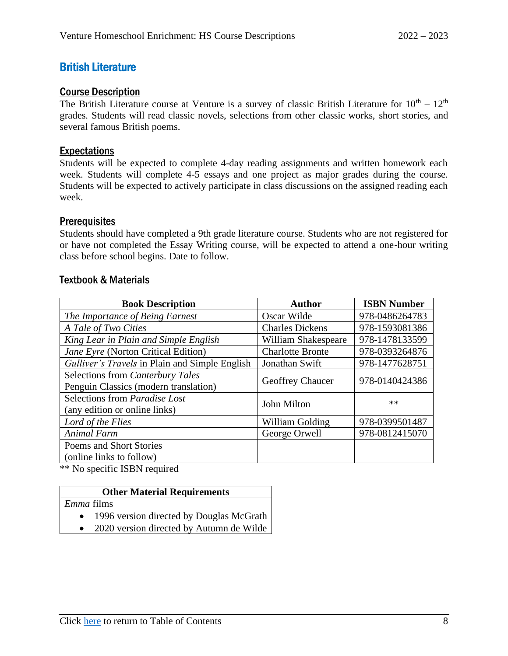## <span id="page-11-0"></span>British Literature

#### <span id="page-11-1"></span>Course Description

The British Literature course at Venture is a survey of classic British Literature for  $10^{th} - 12^{th}$ grades. Students will read classic novels, selections from other classic works, short stories, and several famous British poems.

### <span id="page-11-2"></span>Expectations

Students will be expected to complete 4-day reading assignments and written homework each week. Students will complete 4-5 essays and one project as major grades during the course. Students will be expected to actively participate in class discussions on the assigned reading each week.

#### <span id="page-11-3"></span>**Prerequisites**

Students should have completed a 9th grade literature course. Students who are not registered for or have not completed the Essay Writing course, will be expected to attend a one-hour writing class before school begins. Date to follow.

#### <span id="page-11-4"></span>Textbook & Materials

| <b>Book Description</b>                        | <b>Author</b>           | <b>ISBN Number</b> |
|------------------------------------------------|-------------------------|--------------------|
| The Importance of Being Earnest                | Oscar Wilde             | 978-0486264783     |
| A Tale of Two Cities                           | <b>Charles Dickens</b>  | 978-1593081386     |
| King Lear in Plain and Simple English          | William Shakespeare     | 978-1478133599     |
| Jane Eyre (Norton Critical Edition)            | <b>Charlotte Bronte</b> | 978-0393264876     |
| Gulliver's Travels in Plain and Simple English | Jonathan Swift          | 978-1477628751     |
| Selections from Canterbury Tales               | <b>Geoffrey Chaucer</b> | 978-0140424386     |
| Penguin Classics (modern translation)          |                         |                    |
| Selections from Paradise Lost                  | John Milton             | $**$               |
| (any edition or online links)                  |                         |                    |
| Lord of the Flies                              | William Golding         | 978-0399501487     |
| Animal Farm                                    | George Orwell           | 978-0812415070     |
| Poems and Short Stories                        |                         |                    |
| (online links to follow)                       |                         |                    |

\*\* No specific ISBN required

### **Other Material Requirements**

*Emma* films

- 1996 version directed by Douglas McGrath
- 2020 version directed by Autumn de Wilde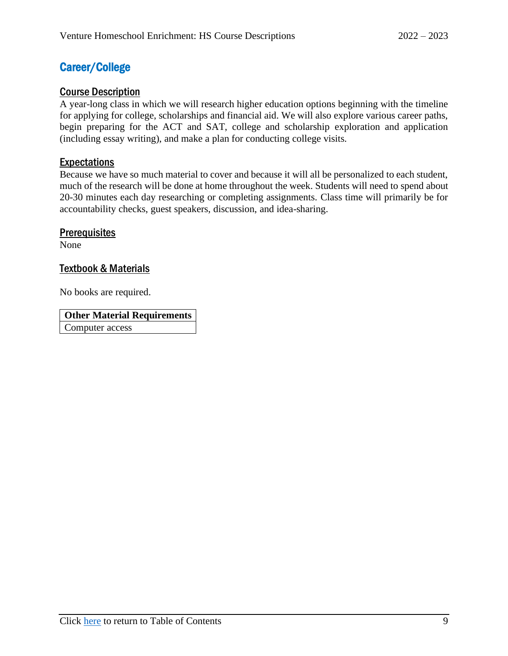## <span id="page-12-0"></span>Career/College

### <span id="page-12-1"></span>Course Description

A year-long class in which we will research higher education options beginning with the timeline for applying for college, scholarships and financial aid. We will also explore various career paths, begin preparing for the ACT and SAT, college and scholarship exploration and application (including essay writing), and make a plan for conducting college visits.

## <span id="page-12-2"></span>**Expectations**

Because we have so much material to cover and because it will all be personalized to each student, much of the research will be done at home throughout the week. Students will need to spend about 20-30 minutes each day researching or completing assignments. Class time will primarily be for accountability checks, guest speakers, discussion, and idea-sharing.

## <span id="page-12-3"></span>**Prerequisites**

None

### <span id="page-12-4"></span>Textbook & Materials

No books are required.

**Other Material Requirements** Computer access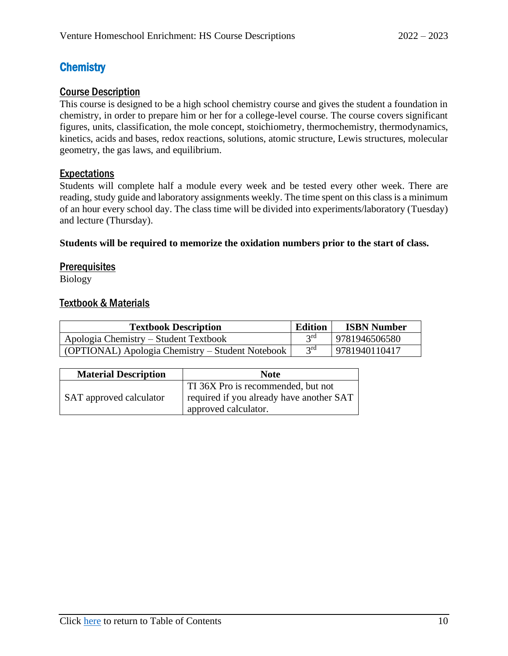## <span id="page-13-0"></span>**Chemistry**

## <span id="page-13-1"></span>Course Description

This course is designed to be a high school chemistry course and gives the student a foundation in chemistry, in order to prepare him or her for a college-level course. The course covers significant figures, units, classification, the mole concept, stoichiometry, thermochemistry, thermodynamics, kinetics, acids and bases, redox reactions, solutions, atomic structure, Lewis structures, molecular geometry, the gas laws, and equilibrium.

## <span id="page-13-2"></span>Expectations

Students will complete half a module every week and be tested every other week. There are reading, study guide and laboratory assignments weekly. The time spent on this class is a minimum of an hour every school day. The class time will be divided into experiments/laboratory (Tuesday) and lecture (Thursday).

#### **Students will be required to memorize the oxidation numbers prior to the start of class.**

### <span id="page-13-3"></span>**Prerequisites**

<span id="page-13-4"></span>Biology

| <b>Textbook Description</b>                      | <b>Edition</b> | <b>ISBN Number</b> |
|--------------------------------------------------|----------------|--------------------|
| Apologia Chemistry – Student Textbook            | 2rd            | 9781946506580      |
| (OPTIONAL) Apologia Chemistry – Student Notebook | $2^{rd}$       | 9781940110417      |

| <b>Material Description</b> | <b>Note</b>                                                                                            |  |
|-----------------------------|--------------------------------------------------------------------------------------------------------|--|
| SAT approved calculator     | TI 36X Pro is recommended, but not<br>required if you already have another SAT<br>approved calculator. |  |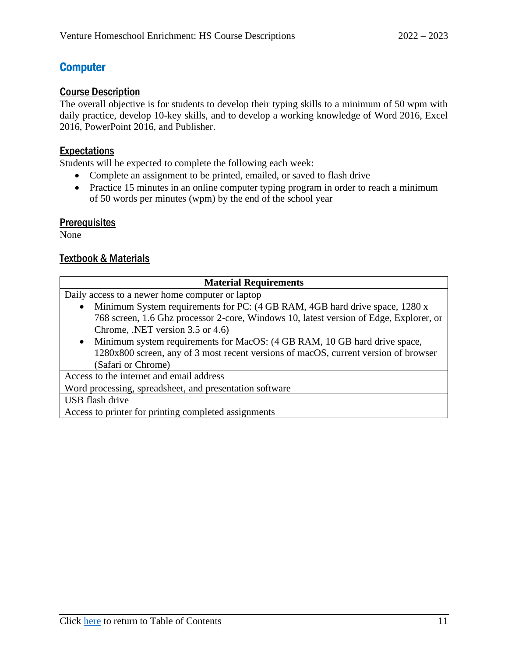## <span id="page-14-0"></span>**Computer**

#### <span id="page-14-1"></span>Course Description

The overall objective is for students to develop their typing skills to a minimum of 50 wpm with daily practice, develop 10-key skills, and to develop a working knowledge of Word 2016, Excel 2016, PowerPoint 2016, and Publisher.

## <span id="page-14-2"></span>Expectations

Students will be expected to complete the following each week:

- Complete an assignment to be printed, emailed, or saved to flash drive
- Practice 15 minutes in an online computer typing program in order to reach a minimum of 50 words per minutes (wpm) by the end of the school year

### <span id="page-14-3"></span>**Prerequisites**

None

<span id="page-14-4"></span>

| <b>Material Requirements</b>                                                             |  |  |
|------------------------------------------------------------------------------------------|--|--|
| Daily access to a newer home computer or laptop                                          |  |  |
| Minimum System requirements for PC: (4 GB RAM, 4GB hard drive space, 1280 x<br>$\bullet$ |  |  |
| 768 screen, 1.6 Ghz processor 2-core, Windows 10, latest version of Edge, Explorer, or   |  |  |
| Chrome, .NET version 3.5 or 4.6)                                                         |  |  |
| Minimum system requirements for MacOS: (4 GB RAM, 10 GB hard drive space,<br>$\bullet$   |  |  |
| 1280x800 screen, any of 3 most recent versions of macOS, current version of browser      |  |  |
| (Safari or Chrome)                                                                       |  |  |
| Access to the internet and email address                                                 |  |  |
| Word processing, spreadsheet, and presentation software                                  |  |  |
| USB flash drive                                                                          |  |  |
| Access to printer for printing completed assignments                                     |  |  |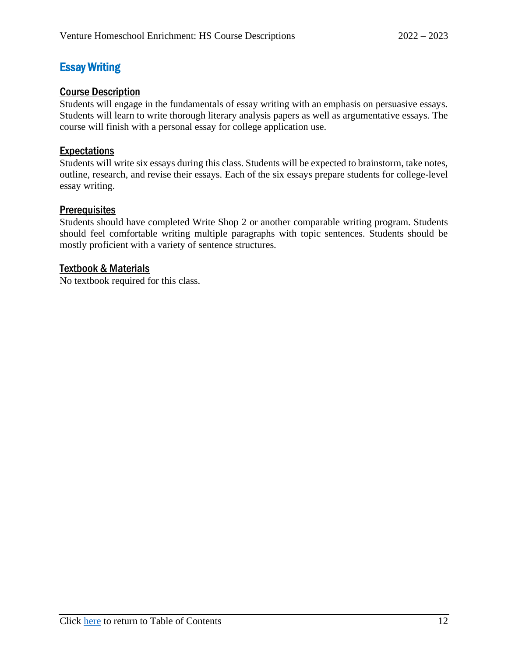## <span id="page-15-0"></span>Essay Writing

### <span id="page-15-1"></span>Course Description

Students will engage in the fundamentals of essay writing with an emphasis on persuasive essays. Students will learn to write thorough literary analysis papers as well as argumentative essays. The course will finish with a personal essay for college application use.

### <span id="page-15-2"></span>**Expectations**

Students will write six essays during this class. Students will be expected to brainstorm, take notes, outline, research, and revise their essays. Each of the six essays prepare students for college-level essay writing.

#### <span id="page-15-3"></span>**Prerequisites**

Students should have completed Write Shop 2 or another comparable writing program. Students should feel comfortable writing multiple paragraphs with topic sentences. Students should be mostly proficient with a variety of sentence structures.

#### <span id="page-15-4"></span>Textbook & Materials

No textbook required for this class.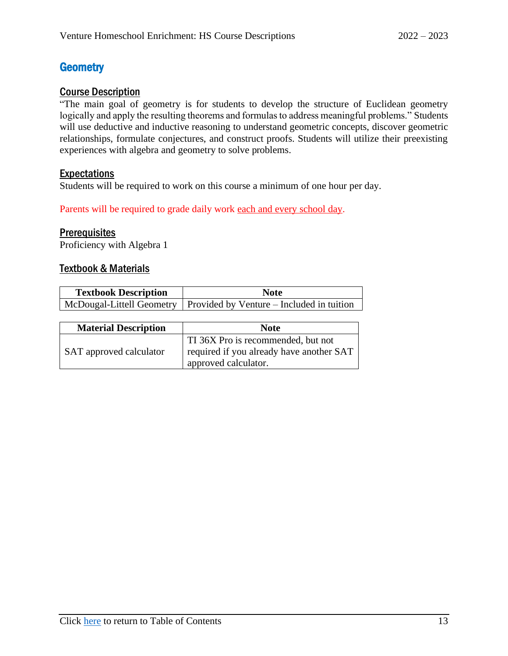## <span id="page-16-0"></span>**Geometry**

### <span id="page-16-1"></span>Course Description

"The main goal of geometry is for students to develop the structure of Euclidean geometry logically and apply the resulting theorems and formulas to address meaningful problems." Students will use deductive and inductive reasoning to understand geometric concepts, discover geometric relationships, formulate conjectures, and construct proofs. Students will utilize their preexisting experiences with algebra and geometry to solve problems.

### <span id="page-16-2"></span>Expectations

Students will be required to work on this course a minimum of one hour per day.

Parents will be required to grade daily work each and every school day.

#### <span id="page-16-3"></span>**Prerequisites**

<span id="page-16-4"></span>Proficiency with Algebra 1

| <b>Textbook Description</b> | <b>Note</b>                                                           |
|-----------------------------|-----------------------------------------------------------------------|
|                             | McDougal-Littell Geometry   Provided by Venture – Included in tuition |

| <b>Material Description</b> | <b>Note</b>                                                                                                         |
|-----------------------------|---------------------------------------------------------------------------------------------------------------------|
| SAT approved calculator     | TI 36X Pro is recommended, but not<br>required if you already have another SAT<br><sup>1</sup> approved calculator. |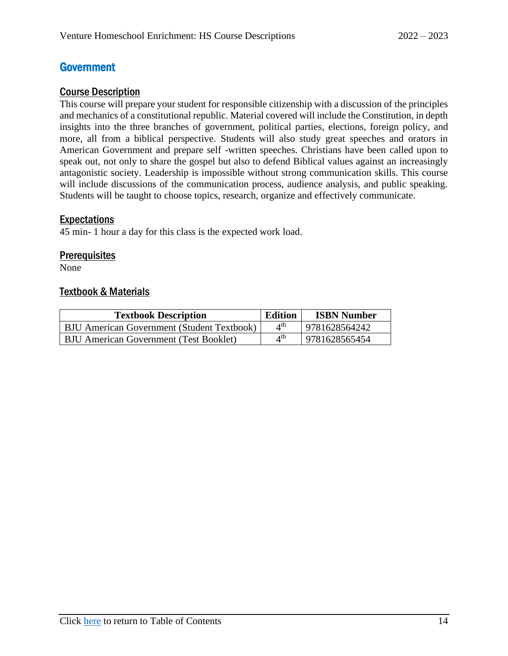## <span id="page-17-0"></span>**Government**

#### <span id="page-17-1"></span>Course Description

This course will prepare your student for responsible citizenship with a discussion of the principles and mechanics of a constitutional republic. Material covered will include the Constitution, in depth insights into the three branches of government, political parties, elections, foreign policy, and more, all from a biblical perspective. Students will also study great speeches and orators in American Government and prepare self -written speeches. Christians have been called upon to speak out, not only to share the gospel but also to defend Biblical values against an increasingly antagonistic society. Leadership is impossible without strong communication skills. This course will include discussions of the communication process, audience analysis, and public speaking. Students will be taught to choose topics, research, organize and effectively communicate.

#### <span id="page-17-2"></span>Expectations

45 min- 1 hour a day for this class is the expected work load.

#### <span id="page-17-3"></span>**Prerequisites**

<span id="page-17-4"></span>None

| <b>Textbook Description</b>                       | <b>Edition</b>          | <b>ISBN Number</b> |
|---------------------------------------------------|-------------------------|--------------------|
| <b>BJU</b> American Government (Student Textbook) | $4^{\text{th}}$         | 9781628564242      |
| <b>BJU American Government (Test Booklet)</b>     | $\Lambda$ <sup>th</sup> | 9781628565454      |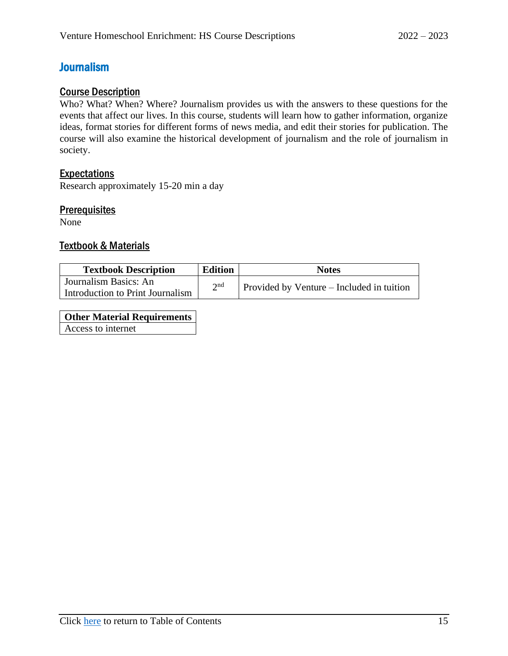## <span id="page-18-0"></span>Journalism

## <span id="page-18-1"></span>Course Description

Who? What? When? Where? Journalism provides us with the answers to these questions for the events that affect our lives. In this course, students will learn how to gather information, organize ideas, format stories for different forms of news media, and edit their stories for publication. The course will also examine the historical development of journalism and the role of journalism in society.

### <span id="page-18-2"></span>Expectations

Research approximately 15-20 min a day

#### <span id="page-18-3"></span>**Prerequisites**

None

#### <span id="page-18-4"></span>Textbook & Materials

| <b>Textbook Description</b>      | <b>Edition</b> | <b>Notes</b>                              |
|----------------------------------|----------------|-------------------------------------------|
| Journalism Basics: An            | $\gamma$ nd    | Provided by Venture – Included in tuition |
| Introduction to Print Journalism |                |                                           |

**Other Material Requirements** Access to internet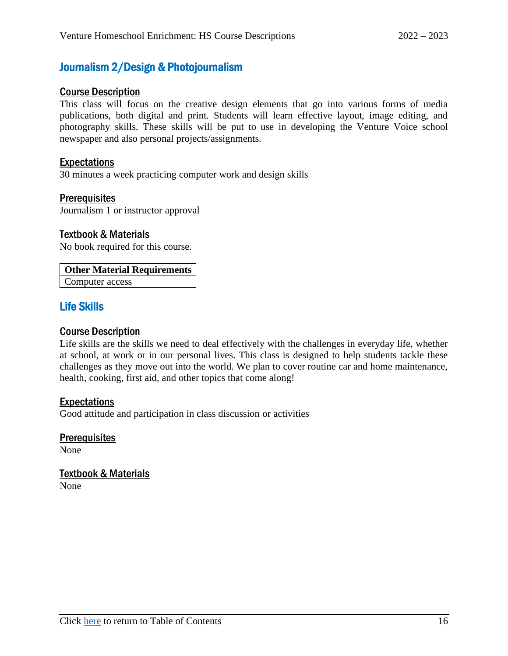## <span id="page-19-0"></span>Journalism 2/Design & Photojournalism

#### <span id="page-19-1"></span>Course Description

This class will focus on the creative design elements that go into various forms of media publications, both digital and print. Students will learn effective layout, image editing, and photography skills. These skills will be put to use in developing the Venture Voice school newspaper and also personal projects/assignments.

#### <span id="page-19-2"></span>Expectations

30 minutes a week practicing computer work and design skills

#### <span id="page-19-3"></span>**Prerequisites**

Journalism 1 or instructor approval

#### <span id="page-19-4"></span>Textbook & Materials

No book required for this course.

#### **Other Material Requirements**

Computer access

## <span id="page-19-5"></span>Life Skills

#### <span id="page-19-6"></span>Course Description

Life skills are the skills we need to deal effectively with the challenges in everyday life, whether at school, at work or in our personal lives. This class is designed to help students tackle these challenges as they move out into the world. We plan to cover routine car and home maintenance, health, cooking, first aid, and other topics that come along!

#### <span id="page-19-7"></span>Expectations

Good attitude and participation in class discussion or activities

<span id="page-19-8"></span>**Prerequisites** 

<span id="page-19-9"></span>None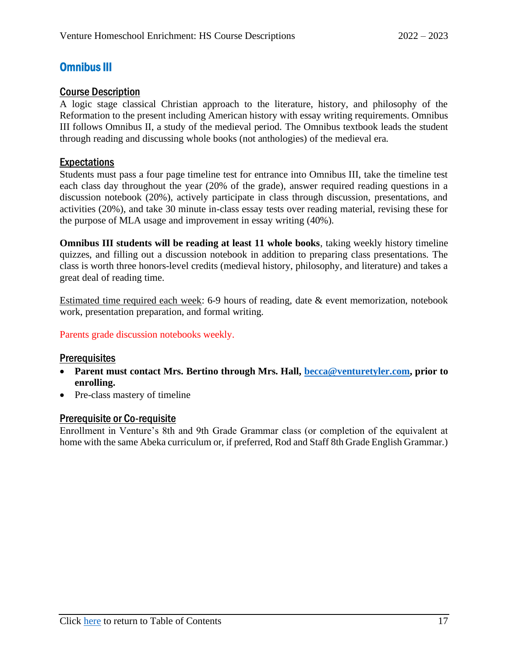## <span id="page-20-0"></span>Omnibus III

#### <span id="page-20-1"></span>Course Description

A logic stage classical Christian approach to the literature, history, and philosophy of the Reformation to the present including American history with essay writing requirements. Omnibus III follows Omnibus II, a study of the medieval period. The Omnibus textbook leads the student through reading and discussing whole books (not anthologies) of the medieval era.

#### <span id="page-20-2"></span>**Expectations**

Students must pass a four page timeline test for entrance into Omnibus III, take the timeline test each class day throughout the year (20% of the grade), answer required reading questions in a discussion notebook (20%), actively participate in class through discussion, presentations, and activities (20%), and take 30 minute in-class essay tests over reading material, revising these for the purpose of MLA usage and improvement in essay writing (40%).

**Omnibus III students will be reading at least 11 whole books**, taking weekly history timeline quizzes, and filling out a discussion notebook in addition to preparing class presentations. The class is worth three honors-level credits (medieval history, philosophy, and literature) and takes a great deal of reading time.

Estimated time required each week: 6-9 hours of reading, date & event memorization, notebook work, presentation preparation, and formal writing.

#### Parents grade discussion notebooks weekly.

#### <span id="page-20-3"></span>**Prerequisites**

- **Parent must contact Mrs. Bertino through Mrs. Hall, [becca@venturetyler.com,](mailto:becca@venturetyler.com) prior to enrolling.**
- Pre-class mastery of timeline

#### <span id="page-20-4"></span>Prerequisite or Co-requisite

Enrollment in Venture's 8th and 9th Grade Grammar class (or completion of the equivalent at home with the same Abeka curriculum or, if preferred, Rod and Staff 8th Grade English Grammar.)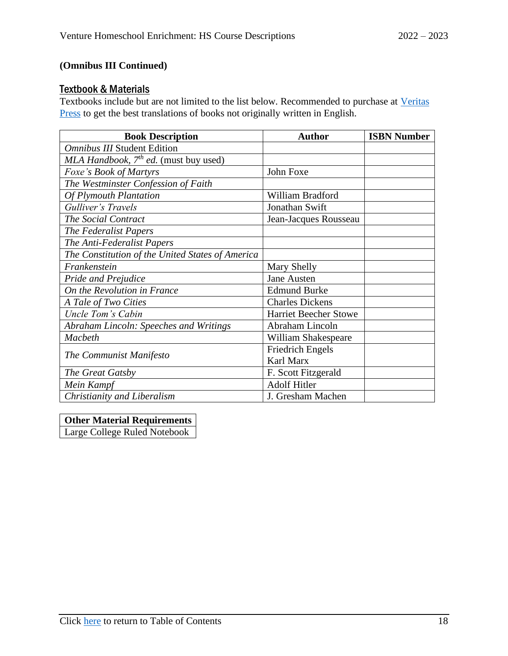## **(Omnibus III Continued)**

#### <span id="page-21-0"></span>**Textbook & Materials**

Textbooks include but are not limited to the list below. Recommended to purchase at [Veritas](https://veritaspress.com/)  **[Press](https://veritaspress.com/)** to get the best translations of books not originally written in English.

| <b>Book Description</b>                          | <b>Author</b>                | <b>ISBN Number</b> |
|--------------------------------------------------|------------------------------|--------------------|
| <b>Omnibus III Student Edition</b>               |                              |                    |
| MLA Handbook, $7th$ ed. (must buy used)          |                              |                    |
| Foxe's Book of Martyrs                           | John Foxe                    |                    |
| The Westminster Confession of Faith              |                              |                    |
| <b>Of Plymouth Plantation</b>                    | William Bradford             |                    |
| Gulliver's Travels                               | Jonathan Swift               |                    |
| The Social Contract                              | Jean-Jacques Rousseau        |                    |
| The Federalist Papers                            |                              |                    |
| The Anti-Federalist Papers                       |                              |                    |
| The Constitution of the United States of America |                              |                    |
| Frankenstein                                     | Mary Shelly                  |                    |
| <b>Pride and Prejudice</b>                       | <b>Jane Austen</b>           |                    |
| On the Revolution in France                      | <b>Edmund Burke</b>          |                    |
| A Tale of Two Cities                             | <b>Charles Dickens</b>       |                    |
| Uncle Tom's Cabin                                | <b>Harriet Beecher Stowe</b> |                    |
| Abraham Lincoln: Speeches and Writings           | Abraham Lincoln              |                    |
| <b>Macbeth</b>                                   | William Shakespeare          |                    |
| The Communist Manifesto                          | <b>Friedrich Engels</b>      |                    |
|                                                  | Karl Marx                    |                    |
| The Great Gatsby                                 | F. Scott Fitzgerald          |                    |
| Mein Kampf                                       | <b>Adolf Hitler</b>          |                    |
| Christianity and Liberalism                      | J. Gresham Machen            |                    |

#### **Other Material Requirements**

Large College Ruled Notebook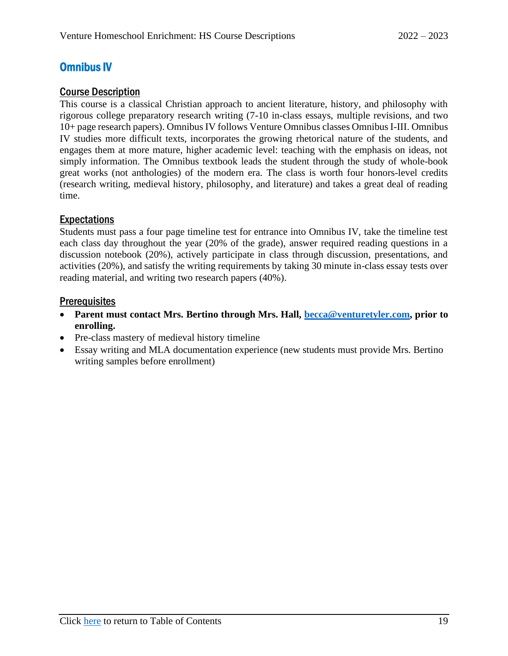## <span id="page-22-0"></span>Omnibus IV

#### <span id="page-22-1"></span>Course Description

This course is a classical Christian approach to ancient literature, history, and philosophy with rigorous college preparatory research writing (7-10 in-class essays, multiple revisions, and two 10+ page research papers). Omnibus IV follows Venture Omnibus classes Omnibus I-III. Omnibus IV studies more difficult texts, incorporates the growing rhetorical nature of the students, and engages them at more mature, higher academic level: teaching with the emphasis on ideas, not simply information. The Omnibus textbook leads the student through the study of whole-book great works (not anthologies) of the modern era. The class is worth four honors-level credits (research writing, medieval history, philosophy, and literature) and takes a great deal of reading time.

#### <span id="page-22-2"></span>**Expectations**

Students must pass a four page timeline test for entrance into Omnibus IV, take the timeline test each class day throughout the year (20% of the grade), answer required reading questions in a discussion notebook (20%), actively participate in class through discussion, presentations, and activities (20%), and satisfy the writing requirements by taking 30 minute in-class essay tests over reading material, and writing two research papers (40%).

#### <span id="page-22-3"></span>**Prerequisites**

- **Parent must contact Mrs. Bertino through Mrs. Hall, [becca@venturetyler.com,](mailto:becca@venturetyler.com) prior to enrolling.**
- Pre-class mastery of medieval history timeline
- Essay writing and MLA documentation experience (new students must provide Mrs. Bertino writing samples before enrollment)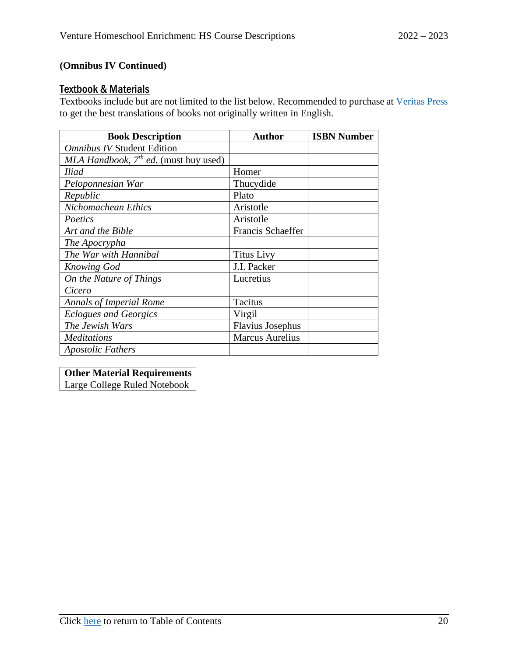## **(Omnibus IV Continued)**

#### <span id="page-23-0"></span>**Textbook & Materials**

Textbooks include but are not limited to the list below. Recommended to purchase at [Veritas Press](https://veritaspress.com/) to get the best translations of books not originally written in English.

| <b>Book Description</b>                    | <b>Author</b>          | <b>ISBN Number</b> |
|--------------------------------------------|------------------------|--------------------|
| <b>Omnibus IV Student Edition</b>          |                        |                    |
| MLA Handbook, $7^{th}$ ed. (must buy used) |                        |                    |
| <b>Iliad</b>                               | Homer                  |                    |
| Peloponnesian War                          | Thucydide              |                    |
| Republic                                   | Plato                  |                    |
| Nichomachean Ethics                        | Aristotle              |                    |
| Poetics                                    | Aristotle              |                    |
| Art and the Bible                          | Francis Schaeffer      |                    |
| The Apocrypha                              |                        |                    |
| The War with Hannibal                      | <b>Titus Livy</b>      |                    |
| <b>Knowing God</b>                         | J.I. Packer            |                    |
| On the Nature of Things                    | Lucretius              |                    |
| Cicero                                     |                        |                    |
| <b>Annals of Imperial Rome</b>             | Tacitus                |                    |
| <b>Eclogues and Georgics</b>               | Virgil                 |                    |
| The Jewish Wars                            | Flavius Josephus       |                    |
| <b>Meditations</b>                         | <b>Marcus Aurelius</b> |                    |
| <b>Apostolic Fathers</b>                   |                        |                    |

### **Other Material Requirements**

Large College Ruled Notebook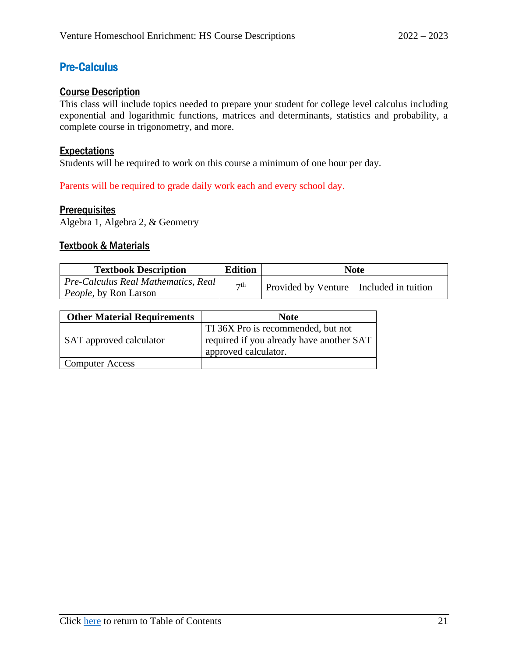## <span id="page-24-0"></span>Pre-Calculus

### <span id="page-24-1"></span>Course Description

This class will include topics needed to prepare your student for college level calculus including exponential and logarithmic functions, matrices and determinants, statistics and probability, a complete course in trigonometry, and more.

#### <span id="page-24-2"></span>Expectations

Students will be required to work on this course a minimum of one hour per day.

Parents will be required to grade daily work each and every school day.

#### <span id="page-24-3"></span>**Prerequisites**

<span id="page-24-4"></span>Algebra 1, Algebra 2, & Geometry

| <b>Textbook Description</b>         | <b>Edition</b> | <b>Note</b>                               |
|-------------------------------------|----------------|-------------------------------------------|
| Pre-Calculus Real Mathematics, Real | $\neg$ th      |                                           |
| <i>People</i> , by Ron Larson       |                | Provided by Venture – Included in tuition |

| <b>Other Material Requirements</b> | <b>Note</b>                                                                                            |
|------------------------------------|--------------------------------------------------------------------------------------------------------|
| SAT approved calculator            | TI 36X Pro is recommended, but not<br>required if you already have another SAT<br>approved calculator. |
| <b>Computer Access</b>             |                                                                                                        |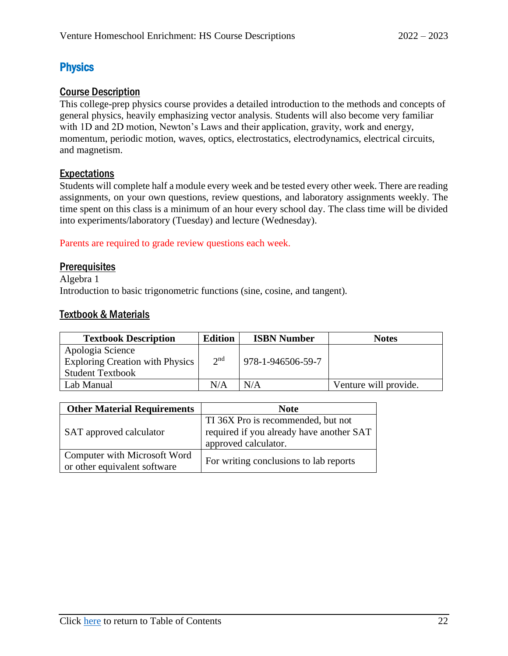## <span id="page-25-0"></span>**Physics**

## <span id="page-25-1"></span>Course Description

This college-prep physics course provides a detailed introduction to the methods and concepts of general physics, heavily emphasizing vector analysis. Students will also become very familiar with 1D and 2D motion, Newton's Laws and their application, gravity, work and energy, momentum, periodic motion, waves, optics, electrostatics, electrodynamics, electrical circuits, and magnetism.

## <span id="page-25-2"></span>Expectations

Students will complete half a module every week and be tested every other week. There are reading assignments, on your own questions, review questions, and laboratory assignments weekly. The time spent on this class is a minimum of an hour every school day. The class time will be divided into experiments/laboratory (Tuesday) and lecture (Wednesday).

#### Parents are required to grade review questions each week.

### <span id="page-25-3"></span>**Prerequisites**

Algebra 1 Introduction to basic trigonometric functions (sine, cosine, and tangent).

<span id="page-25-4"></span>

| <b>Textbook Description</b>            | <b>Edition</b>  | <b>ISBN Number</b> | <b>Notes</b>          |
|----------------------------------------|-----------------|--------------------|-----------------------|
| Apologia Science                       |                 |                    |                       |
| <b>Exploring Creation with Physics</b> | 2 <sup>nd</sup> | 978-1-946506-59-7  |                       |
| <b>Student Textbook</b>                |                 |                    |                       |
| Lab Manual                             | N/A             | N/A                | Venture will provide. |

| <b>Other Material Requirements</b> | <b>Note</b>                              |  |
|------------------------------------|------------------------------------------|--|
| SAT approved calculator            | TI 36X Pro is recommended, but not       |  |
|                                    | required if you already have another SAT |  |
|                                    | approved calculator.                     |  |
| Computer with Microsoft Word       | For writing conclusions to lab reports   |  |
| or other equivalent software       |                                          |  |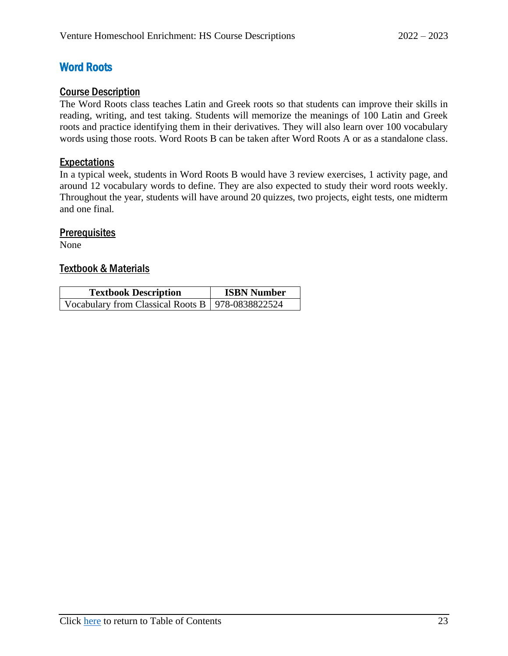## <span id="page-26-0"></span>Word Roots

#### <span id="page-26-1"></span>Course Description

The Word Roots class teaches Latin and Greek roots so that students can improve their skills in reading, writing, and test taking. Students will memorize the meanings of 100 Latin and Greek roots and practice identifying them in their derivatives. They will also learn over 100 vocabulary words using those roots. Word Roots B can be taken after Word Roots A or as a standalone class.

#### <span id="page-26-2"></span>**Expectations**

In a typical week, students in Word Roots B would have 3 review exercises, 1 activity page, and around 12 vocabulary words to define. They are also expected to study their word roots weekly. Throughout the year, students will have around 20 quizzes, two projects, eight tests, one midterm and one final.

#### <span id="page-26-3"></span>**Prerequisites**

<span id="page-26-4"></span>None

| <b>Textbook Description</b>                        | <b>ISBN Number</b> |  |
|----------------------------------------------------|--------------------|--|
| Vocabulary from Classical Roots B   978-0838822524 |                    |  |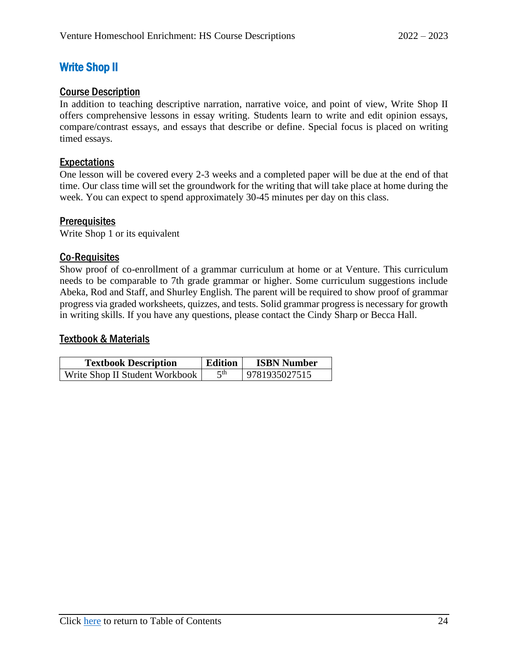## <span id="page-27-0"></span>Write Shop II

### <span id="page-27-1"></span>Course Description

In addition to teaching descriptive narration, narrative voice, and point of view, Write Shop II offers comprehensive lessons in essay writing. Students learn to write and edit opinion essays, compare/contrast essays, and essays that describe or define. Special focus is placed on writing timed essays.

## <span id="page-27-2"></span>Expectations

One lesson will be covered every 2-3 weeks and a completed paper will be due at the end of that time. Our class time will set the groundwork for the writing that will take place at home during the week. You can expect to spend approximately 30-45 minutes per day on this class.

### <span id="page-27-3"></span>**Prerequisites**

Write Shop 1 or its equivalent

### <span id="page-27-4"></span>Co-Requisites

Show proof of co-enrollment of a grammar curriculum at home or at Venture. This curriculum needs to be comparable to 7th grade grammar or higher. Some curriculum suggestions include Abeka, Rod and Staff, and Shurley English. The parent will be required to show proof of grammar progress via graded worksheets, quizzes, and tests. Solid grammar progress is necessary for growth in writing skills. If you have any questions, please contact the Cindy Sharp or Becca Hall.

<span id="page-27-5"></span>

| <b>Textbook Description</b>    | <b>Edition</b> | <b>ISBN Number</b> |
|--------------------------------|----------------|--------------------|
| Write Shop II Student Workbook | ∠th            | 9781935027515      |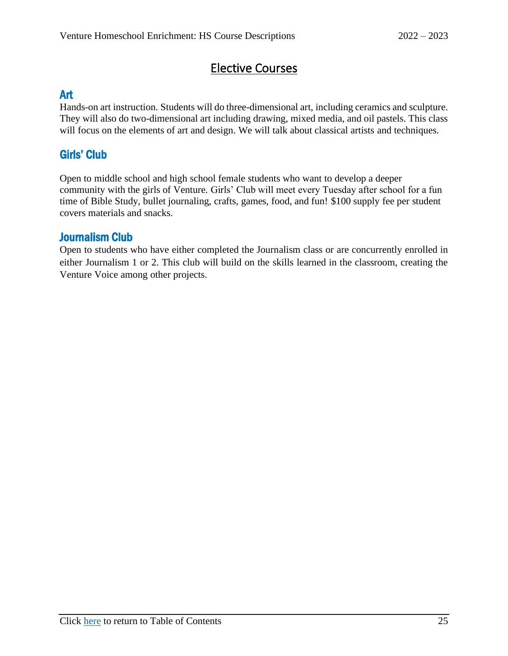# Elective Courses

## <span id="page-28-1"></span><span id="page-28-0"></span>Art

Hands-on art instruction. Students will do three-dimensional art, including ceramics and sculpture. They will also do two-dimensional art including drawing, mixed media, and oil pastels. This class will focus on the elements of art and design. We will talk about classical artists and techniques.

## <span id="page-28-2"></span>Girls' Club

Open to middle school and high school female students who want to develop a deeper community with the girls of Venture. Girls' Club will meet every Tuesday after school for a fun time of Bible Study, bullet journaling, crafts, games, food, and fun! \$100 supply fee per student covers materials and snacks.

## <span id="page-28-3"></span>Journalism Club

Open to students who have either completed the Journalism class or are concurrently enrolled in either Journalism 1 or 2. This club will build on the skills learned in the classroom, creating the Venture Voice among other projects.